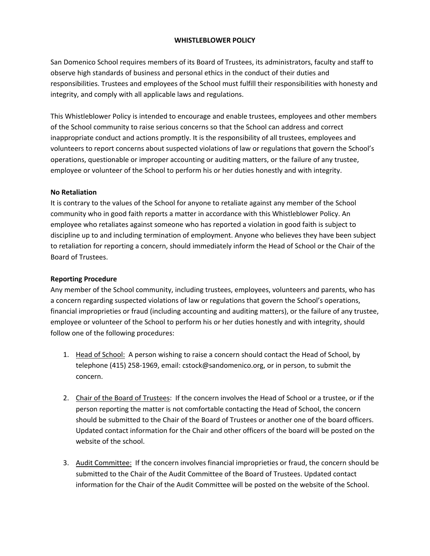## **WHISTLEBLOWER POLICY**

San Domenico School requires members of its Board of Trustees, its administrators, faculty and staff to observe high standards of business and personal ethics in the conduct of their duties and responsibilities. Trustees and employees of the School must fulfill their responsibilities with honesty and integrity, and comply with all applicable laws and regulations.

This Whistleblower Policy is intended to encourage and enable trustees, employees and other members of the School community to raise serious concerns so that the School can address and correct inappropriate conduct and actions promptly. It is the responsibility of all trustees, employees and volunteers to report concerns about suspected violations of law or regulations that govern the School's operations, questionable or improper accounting or auditing matters, or the failure of any trustee, employee or volunteer of the School to perform his or her duties honestly and with integrity.

### **No Retaliation**

It is contrary to the values of the School for anyone to retaliate against any member of the School community who in good faith reports a matter in accordance with this Whistleblower Policy. An employee who retaliates against someone who has reported a violation in good faith is subject to discipline up to and including termination of employment. Anyone who believes they have been subject to retaliation for reporting a concern, should immediately inform the Head of School or the Chair of the Board of Trustees.

#### **Reporting Procedure**

Any member of the School community, including trustees, employees, volunteers and parents, who has a concern regarding suspected violations of law or regulations that govern the School's operations, financial improprieties or fraud (including accounting and auditing matters), or the failure of any trustee, employee or volunteer of the School to perform his or her duties honestly and with integrity, should follow one of the following procedures:

- 1. Head of School: A person wishing to raise a concern should contact the Head of School, by telephone (415) 258-1969, email: cstock@sandomenico.org, or in person, to submit the concern.
- 2. Chair of the Board of Trustees: If the concern involves the Head of School or a trustee, or if the person reporting the matter is not comfortable contacting the Head of School, the concern should be submitted to the Chair of the Board of Trustees or another one of the board officers. Updated contact information for the Chair and other officers of the board will be posted on the website of the school.
- 3. Audit Committee: If the concern involves financial improprieties or fraud, the concern should be submitted to the Chair of the Audit Committee of the Board of Trustees. Updated contact information for the Chair of the Audit Committee will be posted on the website of the School.